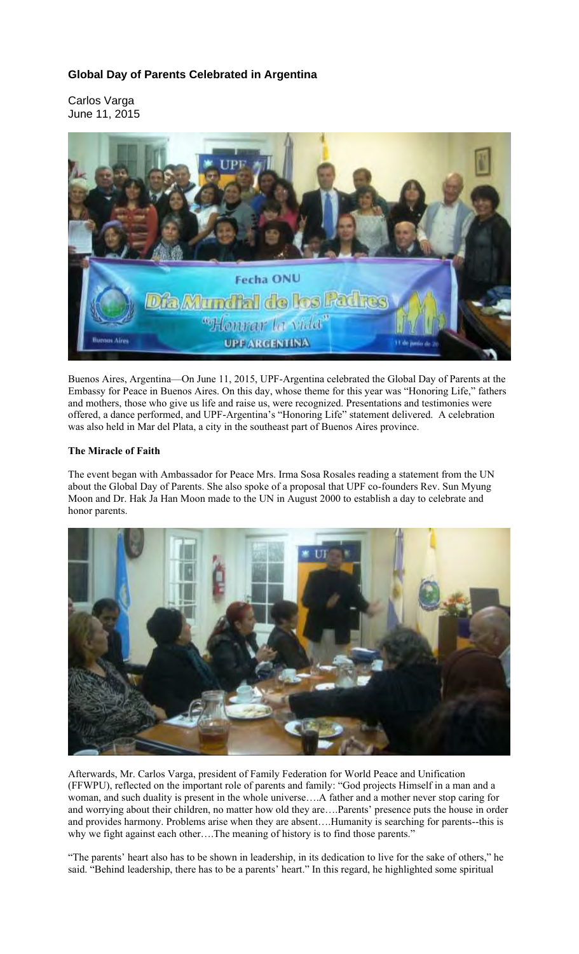# **Global Day of Parents Celebrated in Argentina**

Carlos Varga June 11, 2015



Buenos Aires, Argentina—On June 11, 2015, UPF-Argentina celebrated the Global Day of Parents at the Embassy for Peace in Buenos Aires. On this day, whose theme for this year was "Honoring Life," fathers and mothers, those who give us life and raise us, were recognized. Presentations and testimonies were offered, a dance performed, and UPF-Argentina's "Honoring Life" statement delivered. A celebration was also held in Mar del Plata, a city in the southeast part of Buenos Aires province.

### **The Miracle of Faith**

The event began with Ambassador for Peace Mrs. Irma Sosa Rosales reading a statement from the UN about the Global Day of Parents. She also spoke of a proposal that UPF co-founders Rev. Sun Myung Moon and Dr. Hak Ja Han Moon made to the UN in August 2000 to establish a day to celebrate and honor parents.



Afterwards, Mr. Carlos Varga, president of Family Federation for World Peace and Unification (FFWPU), reflected on the important role of parents and family: "God projects Himself in a man and a woman, and such duality is present in the whole universe….A father and a mother never stop caring for and worrying about their children, no matter how old they are….Parents' presence puts the house in order and provides harmony. Problems arise when they are absent….Humanity is searching for parents--this is why we fight against each other....The meaning of history is to find those parents."

"The parents' heart also has to be shown in leadership, in its dedication to live for the sake of others," he said. "Behind leadership, there has to be a parents' heart." In this regard, he highlighted some spiritual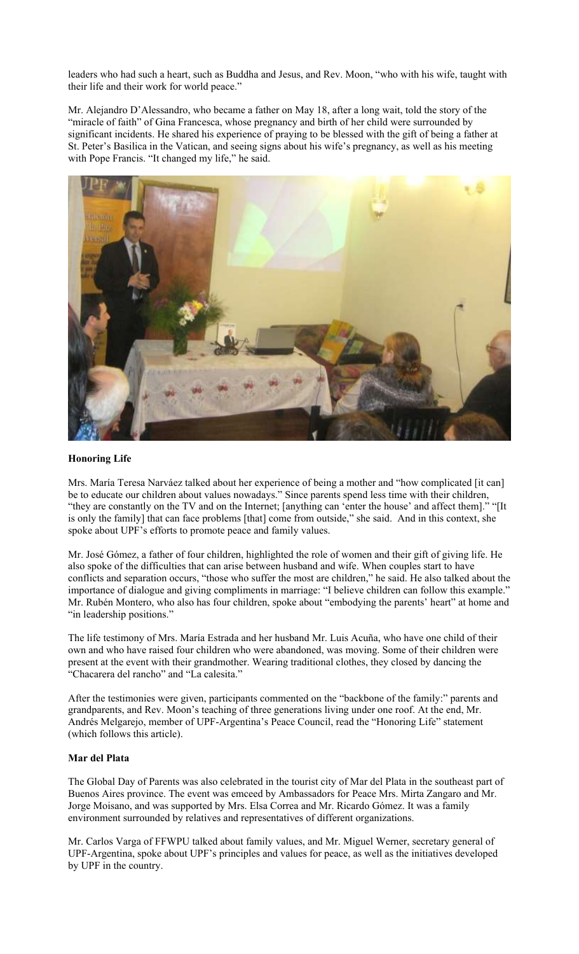leaders who had such a heart, such as Buddha and Jesus, and Rev. Moon, "who with his wife, taught with their life and their work for world peace."

Mr. Alejandro D'Alessandro, who became a father on May 18, after a long wait, told the story of the "miracle of faith" of Gina Francesca, whose pregnancy and birth of her child were surrounded by significant incidents. He shared his experience of praying to be blessed with the gift of being a father at St. Peter's Basilica in the Vatican, and seeing signs about his wife's pregnancy, as well as his meeting with Pope Francis. "It changed my life," he said.



#### **Honoring Life**

Mrs. María Teresa Narváez talked about her experience of being a mother and "how complicated [it can] be to educate our children about values nowadays." Since parents spend less time with their children, "they are constantly on the TV and on the Internet; [anything can 'enter the house' and affect them]." "[It is only the family] that can face problems [that] come from outside," she said. And in this context, she spoke about UPF's efforts to promote peace and family values.

Mr. José Gómez, a father of four children, highlighted the role of women and their gift of giving life. He also spoke of the difficulties that can arise between husband and wife. When couples start to have conflicts and separation occurs, "those who suffer the most are children," he said. He also talked about the importance of dialogue and giving compliments in marriage: "I believe children can follow this example." Mr. Rubén Montero, who also has four children, spoke about "embodying the parents' heart" at home and "in leadership positions."

The life testimony of Mrs. María Estrada and her husband Mr. Luis Acuña, who have one child of their own and who have raised four children who were abandoned, was moving. Some of their children were present at the event with their grandmother. Wearing traditional clothes, they closed by dancing the "Chacarera del rancho" and "La calesita."

After the testimonies were given, participants commented on the "backbone of the family:" parents and grandparents, and Rev. Moon's teaching of three generations living under one roof. At the end, Mr. Andrés Melgarejo, member of UPF-Argentina's Peace Council, read the "Honoring Life" statement (which follows this article).

## **Mar del Plata**

The Global Day of Parents was also celebrated in the tourist city of Mar del Plata in the southeast part of Buenos Aires province. The event was emceed by Ambassadors for Peace Mrs. Mirta Zangaro and Mr. Jorge Moisano, and was supported by Mrs. Elsa Correa and Mr. Ricardo Gómez. It was a family environment surrounded by relatives and representatives of different organizations.

Mr. Carlos Varga of FFWPU talked about family values, and Mr. Miguel Werner, secretary general of UPF-Argentina, spoke about UPF's principles and values for peace, as well as the initiatives developed by UPF in the country.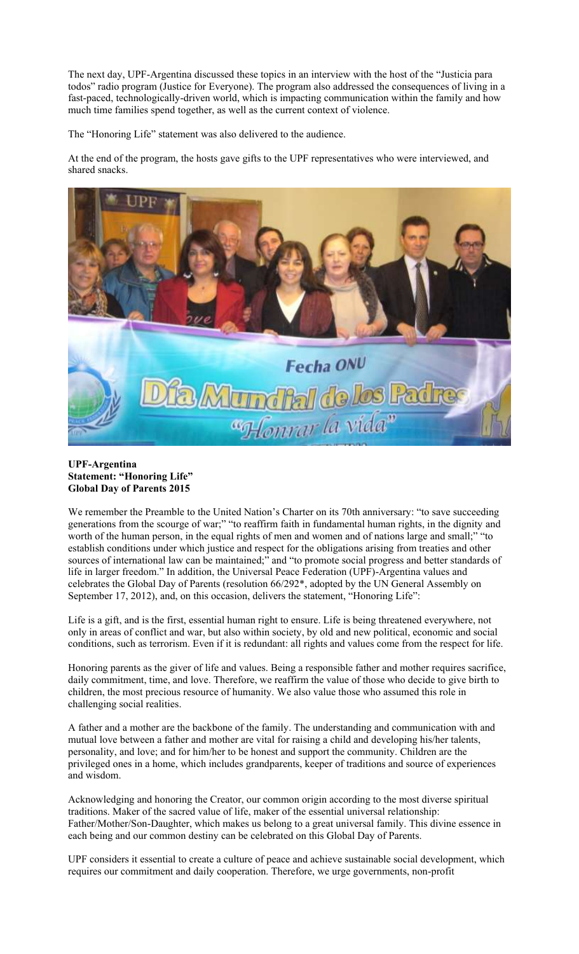The next day, UPF-Argentina discussed these topics in an interview with the host of the "Justicia para todos" radio program (Justice for Everyone). The program also addressed the consequences of living in a fast-paced, technologically-driven world, which is impacting communication within the family and how much time families spend together, as well as the current context of violence.

The "Honoring Life" statement was also delivered to the audience.

At the end of the program, the hosts gave gifts to the UPF representatives who were interviewed, and shared snacks.



#### **UPF-Argentina Statement: "Honoring Life" Global Day of Parents 2015**

We remember the Preamble to the United Nation's Charter on its 70th anniversary: "to save succeeding generations from the scourge of war;" "to reaffirm faith in fundamental human rights, in the dignity and worth of the human person, in the equal rights of men and women and of nations large and small;" "to establish conditions under which justice and respect for the obligations arising from treaties and other sources of international law can be maintained;" and "to promote social progress and better standards of life in larger freedom." In addition, the Universal Peace Federation (UPF)-Argentina values and celebrates the Global Day of Parents (resolution 66/292\*, adopted by the UN General Assembly on September 17, 2012), and, on this occasion, delivers the statement, "Honoring Life":

Life is a gift, and is the first, essential human right to ensure. Life is being threatened everywhere, not only in areas of conflict and war, but also within society, by old and new political, economic and social conditions, such as terrorism. Even if it is redundant: all rights and values come from the respect for life.

Honoring parents as the giver of life and values. Being a responsible father and mother requires sacrifice, daily commitment, time, and love. Therefore, we reaffirm the value of those who decide to give birth to children, the most precious resource of humanity. We also value those who assumed this role in challenging social realities.

A father and a mother are the backbone of the family. The understanding and communication with and mutual love between a father and mother are vital for raising a child and developing his/her talents, personality, and love; and for him/her to be honest and support the community. Children are the privileged ones in a home, which includes grandparents, keeper of traditions and source of experiences and wisdom.

Acknowledging and honoring the Creator, our common origin according to the most diverse spiritual traditions. Maker of the sacred value of life, maker of the essential universal relationship: Father/Mother/Son-Daughter, which makes us belong to a great universal family. This divine essence in each being and our common destiny can be celebrated on this Global Day of Parents.

UPF considers it essential to create a culture of peace and achieve sustainable social development, which requires our commitment and daily cooperation. Therefore, we urge governments, non-profit